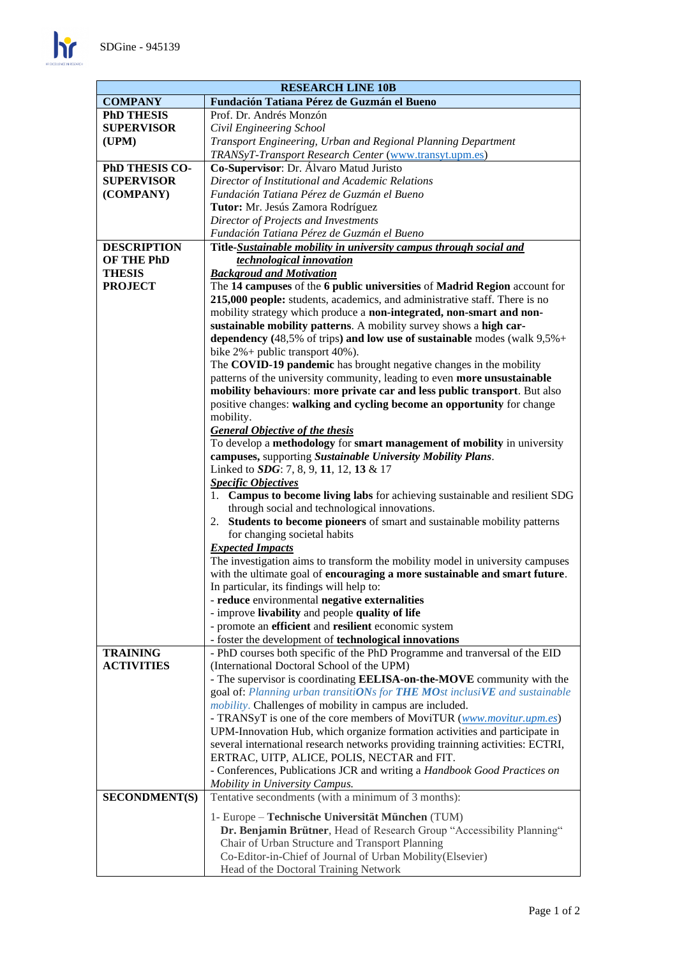$\mathbf{h}$ 

| <b>RESEARCH LINE 10B</b> |                                                                                                                   |
|--------------------------|-------------------------------------------------------------------------------------------------------------------|
| <b>COMPANY</b>           | Fundación Tatiana Pérez de Guzmán el Bueno                                                                        |
| <b>PhD THESIS</b>        | Prof. Dr. Andrés Monzón                                                                                           |
| <b>SUPERVISOR</b>        | Civil Engineering School                                                                                          |
| (UPM)                    | Transport Engineering, Urban and Regional Planning Department                                                     |
|                          | TRANSyT-Transport Research Center (www.transyt.upm.es)                                                            |
| PhD THESIS CO-           | Co-Supervisor: Dr. Álvaro Matud Juristo                                                                           |
| <b>SUPERVISOR</b>        | Director of Institutional and Academic Relations                                                                  |
| (COMPANY)                | Fundación Tatiana Pérez de Guzmán el Bueno                                                                        |
|                          | Tutor: Mr. Jesús Zamora Rodríguez                                                                                 |
|                          | Director of Projects and Investments                                                                              |
|                          | Fundación Tatiana Pérez de Guzmán el Bueno                                                                        |
| <b>DESCRIPTION</b>       | Title-Sustainable mobility in university campus through social and                                                |
| OF THE PhD               | technological innovation                                                                                          |
| <b>THESIS</b>            | <b>Backgroud and Motivation</b>                                                                                   |
| <b>PROJECT</b>           | The 14 campuses of the 6 public universities of Madrid Region account for                                         |
|                          | 215,000 people: students, academics, and administrative staff. There is no                                        |
|                          | mobility strategy which produce a non-integrated, non-smart and non-                                              |
|                          | sustainable mobility patterns. A mobility survey shows a high car-                                                |
|                          | dependency (48,5% of trips) and low use of sustainable modes (walk $9,5\% +$                                      |
|                          | bike $2\%$ + public transport 40%).                                                                               |
|                          | The COVID-19 pandemic has brought negative changes in the mobility                                                |
|                          | patterns of the university community, leading to even more unsustainable                                          |
|                          | mobility behaviours: more private car and less public transport. But also                                         |
|                          | positive changes: walking and cycling become an opportunity for change                                            |
|                          | mobility.                                                                                                         |
|                          | <b>General Objective of the thesis</b><br>To develop a methodology for smart management of mobility in university |
|                          | campuses, supporting Sustainable University Mobility Plans.                                                       |
|                          | Linked to <i>SDG</i> : 7, 8, 9, 11, 12, 13 & 17                                                                   |
|                          | <b>Specific Objectives</b>                                                                                        |
|                          | Campus to become living labs for achieving sustainable and resilient SDG<br>1.                                    |
|                          | through social and technological innovations.                                                                     |
|                          | 2. Students to become pioneers of smart and sustainable mobility patterns                                         |
|                          | for changing societal habits                                                                                      |
|                          | <b>Expected Impacts</b>                                                                                           |
|                          | The investigation aims to transform the mobility model in university campuses                                     |
|                          | with the ultimate goal of encouraging a more sustainable and smart future.                                        |
|                          | In particular, its findings will help to:                                                                         |
|                          | - reduce environmental negative externalities                                                                     |
|                          | - improve livability and people quality of life                                                                   |
|                          | - promote an efficient and resilient economic system                                                              |
|                          | - foster the development of technological innovations                                                             |
| <b>TRAINING</b>          | - PhD courses both specific of the PhD Programme and tranversal of the EID                                        |
| <b>ACTIVITIES</b>        | (International Doctoral School of the UPM)                                                                        |
|                          | - The supervisor is coordinating <b>EELISA-on-the-MOVE</b> community with the                                     |
|                          | goal of: Planning urban transitiONs for THE MOst inclusiVE and sustainable                                        |
|                          | <i>mobility</i> . Challenges of mobility in campus are included.                                                  |
|                          | - TRANSyT is one of the core members of MoviTUR (www.movitur.upm.es)                                              |
|                          | UPM-Innovation Hub, which organize formation activities and participate in                                        |
|                          | several international research networks providing trainning activities: ECTRI,                                    |
|                          | ERTRAC, UITP, ALICE, POLIS, NECTAR and FIT.                                                                       |
|                          | - Conferences, Publications JCR and writing a Handbook Good Practices on                                          |
|                          | Mobility in University Campus.                                                                                    |
| <b>SECONDMENT(S)</b>     | Tentative secondments (with a minimum of 3 months):                                                               |
|                          | 1- Europe – Technische Universität München (TUM)                                                                  |
|                          | Dr. Benjamin Brütner, Head of Research Group "Accessibility Planning"                                             |
|                          | Chair of Urban Structure and Transport Planning                                                                   |
|                          | Co-Editor-in-Chief of Journal of Urban Mobility (Elsevier)                                                        |
|                          | Head of the Doctoral Training Network                                                                             |